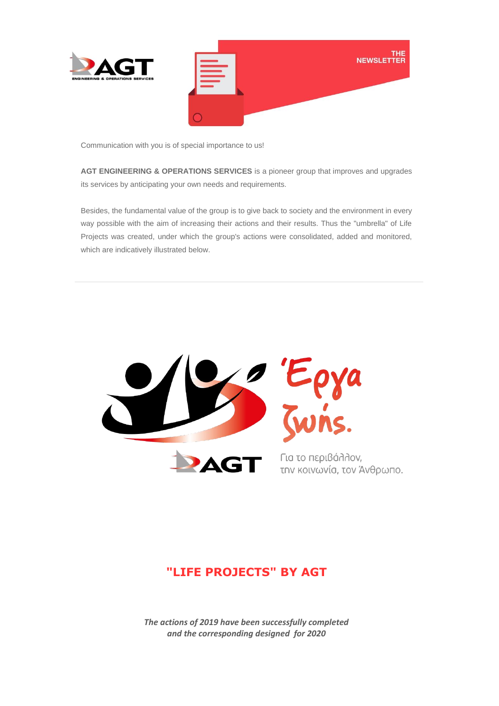

Communication with you is of special importance to us!

**AGT ENGINEERING & OPERATIONS SERVICES** is a pioneer group that improves and upgrades its services by anticipating your own needs and requirements.

Besides, the fundamental value of the group is to give back to society and the environment in every way possible with the aim of increasing their actions and their results. Thus the "umbrella" of Life Projects was created, under which the group's actions were consolidated, added and monitored, which are indicatively illustrated below.



## **"LIFE PROJECTS" BY AGT**

*The actions of 2019 have been successfully completed and the corresponding designed for 2020*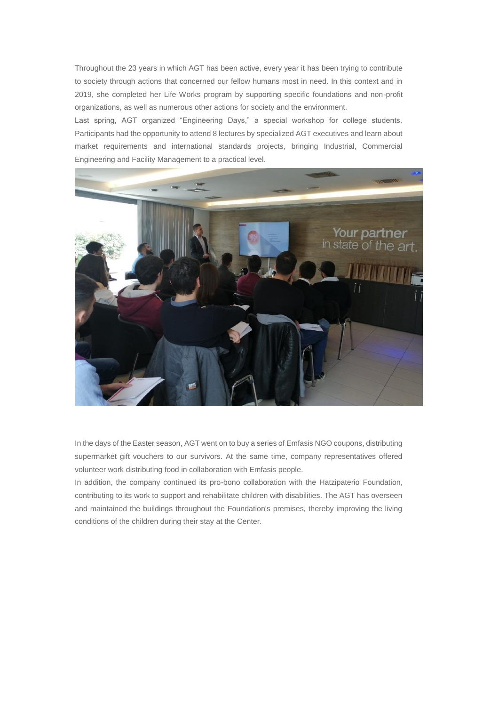Throughout the 23 years in which AGT has been active, every year it has been trying to contribute to society through actions that concerned our fellow humans most in need. In this context and in 2019, she completed her Life Works program by supporting specific foundations and non-profit organizations, as well as numerous other actions for society and the environment.

Last spring, AGT organized "Engineering Days," a special workshop for college students. Participants had the opportunity to attend 8 lectures by specialized AGT executives and learn about market requirements and international standards projects, bringing Industrial, Commercial Engineering and Facility Management to a practical level.



In the days of the Easter season, AGT went on to buy a series of Emfasis NGO coupons, distributing supermarket gift vouchers to our survivors. At the same time, company representatives offered volunteer work distributing food in collaboration with Emfasis people.

In addition, the company continued its pro-bono collaboration with the Hatzipaterio Foundation, contributing to its work to support and rehabilitate children with disabilities. The AGT has overseen and maintained the buildings throughout the Foundation's premises, thereby improving the living conditions of the children during their stay at the Center.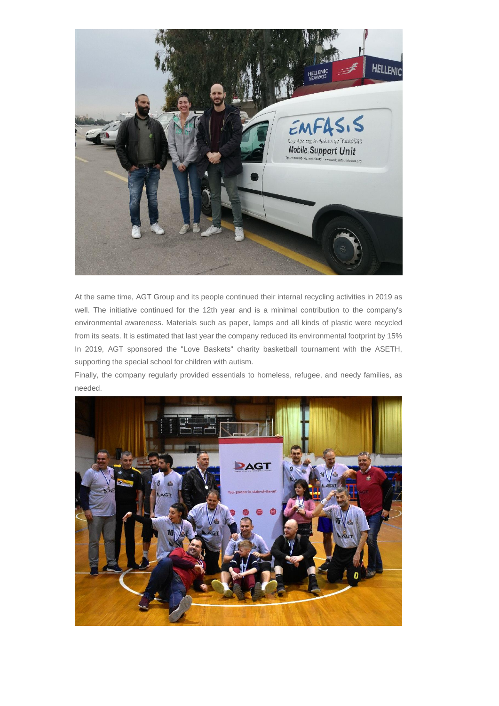

At the same time, AGT Group and its people continued their internal recycling activities in 2019 as well. The initiative continued for the 12th year and is a minimal contribution to the company's environmental awareness. Materials such as paper, lamps and all kinds of plastic were recycled from its seats. It is estimated that last year the company reduced its environmental footprint by 15% In 2019, AGT sponsored the "Love Baskets" charity basketball tournament with the ASETH, supporting the special school for children with autism.

Finally, the company regularly provided essentials to homeless, refugee, and needy families, as needed.